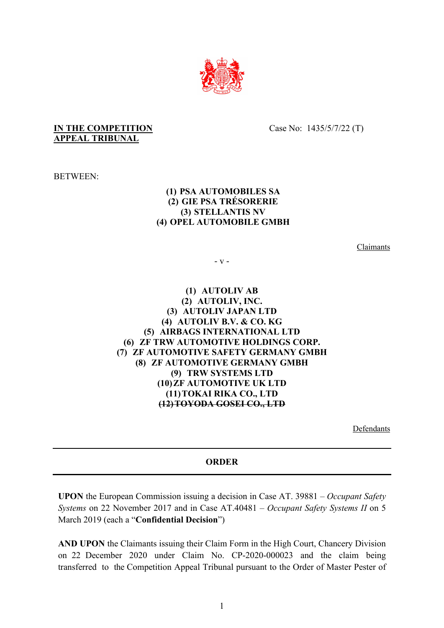

## **IN THE COMPETITION APPEAL TRIBUNAL**

Case No: 1435/5/7/22 (T)

BETWEEN:

## **(1) PSA AUTOMOBILES SA (2) GIE PSA TRÉSORERIE (3) STELLANTIS NV (4) OPEL AUTOMOBILE GMBH**

Claimants

- v -

**(1) AUTOLIV AB (2) AUTOLIV, INC. (3) AUTOLIV JAPAN LTD (4) AUTOLIV B.V. & CO. KG (5) AIRBAGS INTERNATIONAL LTD (6) ZF TRW AUTOMOTIVE HOLDINGS CORP. (7) ZF AUTOMOTIVE SAFETY GERMANY GMBH (8) ZF AUTOMOTIVE GERMANY GMBH (9) TRW SYSTEMS LTD (10)ZF AUTOMOTIVE UK LTD (11)TOKAI RIKA CO., LTD (12)TOYODA GOSEI CO., LTD**

Defendants

## **ORDER**

**UPON** the European Commission issuing a decision in Case AT. 39881 – *Occupant Safety Systems* on 22 November 2017 and in Case AT.40481 – *Occupant Safety Systems II* on 5 March 2019 (each a "**Confidential Decision**")

**AND UPON** the Claimants issuing their Claim Form in the High Court, Chancery Division on 22 December 2020 under Claim No. CP-2020-000023 and the claim being transferred to the Competition Appeal Tribunal pursuant to the Order of Master Pester of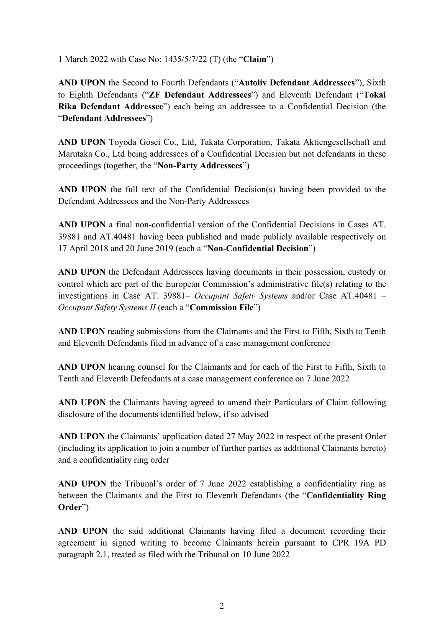1 March 2022 with Case No: 1435/5/7/22 (T) (the "**Claim**")

**AND UPON** the Second to Fourth Defendants ("**Autoliv Defendant Addressees**"), Sixth to Eighth Defendants ("**ZF Defendant Addressees**") and Eleventh Defendant ("**Tokai Rika Defendant Addressee**") each being an addressee to a Confidential Decision (the "**Defendant Addressees**")

**AND UPON** Toyoda Gosei Co., Ltd, Takata Corporation, Takata Aktiengesellschaft and Marutaka Co., Ltd being addressees of a Confidential Decision but not defendants in these proceedings (together, the "**Non-Party Addressees**")

**AND UPON** the full text of the Confidential Decision(s) having been provided to the Defendant Addressees and the Non-Party Addressees

**AND UPON** a final non-confidential version of the Confidential Decisions in Cases AT. 39881 and AT.40481 having been published and made publicly available respectively on 17 April 2018 and 20 June 2019 (each a "**Non-Confidential Decision**")

**AND UPON** the Defendant Addressees having documents in their possession, custody or control which are part of the European Commission's administrative file(s) relating to the investigations in Case AT. 39881– *Occupant Safety Systems* and/or Case AT.40481 – *Occupant Safety Systems II* (each a "**Commission File**")

**AND UPON** reading submissions from the Claimants and the First to Fifth, Sixth to Tenth and Eleventh Defendants filed in advance of a case management conference

**AND UPON** hearing counsel for the Claimants and for each of the First to Fifth, Sixth to Tenth and Eleventh Defendants at a case management conference on 7 June 2022

**AND UPON** the Claimants having agreed to amend their Particulars of Claim following disclosure of the documents identified below, if so advised

**AND UPON** the Claimants' application dated 27 May 2022 in respect of the present Order (including its application to join a number of further parties as additional Claimants hereto) and a confidentiality ring order

**AND UPON** the Tribunal's order of 7 June 2022 establishing a confidentiality ring as between the Claimants and the First to Eleventh Defendants (the "**Confidentiality Ring Order**")

**AND UPON** the said additional Claimants having filed a document recording their agreement in signed writing to become Claimants herein pursuant to CPR 19A PD paragraph 2.1, treated as filed with the Tribunal on 10 June 2022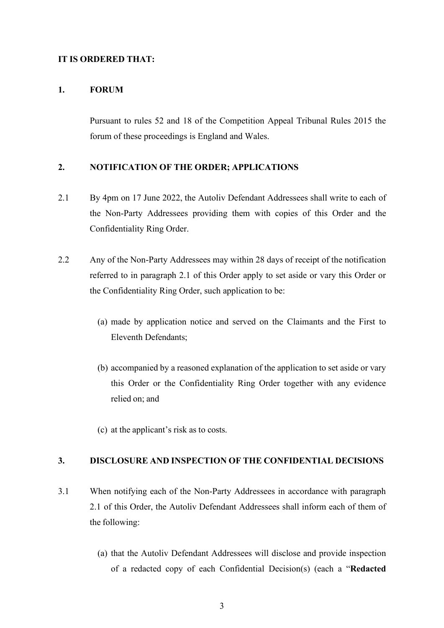#### **IT IS ORDERED THAT:**

#### **1. FORUM**

Pursuant to rules 52 and 18 of the Competition Appeal Tribunal Rules 2015 the forum of these proceedings is England and Wales.

## **2. NOTIFICATION OF THE ORDER; APPLICATIONS**

- 2.1 By 4pm on 17 June 2022, the Autoliv Defendant Addressees shall write to each of the Non-Party Addressees providing them with copies of this Order and the Confidentiality Ring Order.
- 2.2 Any of the Non-Party Addressees may within 28 days of receipt of the notification referred to in paragraph 2.1 of this Order apply to set aside or vary this Order or the Confidentiality Ring Order, such application to be:
	- (a) made by application notice and served on the Claimants and the First to Eleventh Defendants;
	- (b) accompanied by a reasoned explanation of the application to set aside or vary this Order or the Confidentiality Ring Order together with any evidence relied on; and
	- (c) at the applicant's risk as to costs.

## **3. DISCLOSURE AND INSPECTION OF THE CONFIDENTIAL DECISIONS**

- 3.1 When notifying each of the Non-Party Addressees in accordance with paragraph 2.1 of this Order, the Autoliv Defendant Addressees shall inform each of them of the following:
	- (a) that the Autoliv Defendant Addressees will disclose and provide inspection of a redacted copy of each Confidential Decision(s) (each a "**Redacted**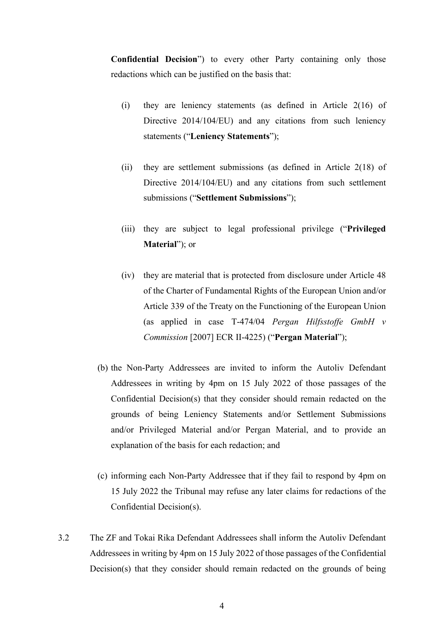**Confidential Decision**") to every other Party containing only those redactions which can be justified on the basis that:

- (i) they are leniency statements (as defined in Article 2(16) of Directive 2014/104/EU) and any citations from such leniency statements ("**Leniency Statements**");
- (ii) they are settlement submissions (as defined in Article 2(18) of Directive 2014/104/EU) and any citations from such settlement submissions ("**Settlement Submissions**");
- (iii) they are subject to legal professional privilege ("**Privileged Material**"); or
- (iv) they are material that is protected from disclosure under Article 48 of the Charter of Fundamental Rights of the European Union and/or Article 339 of the Treaty on the Functioning of the European Union (as applied in case T-474/04 *Pergan Hilfsstoffe GmbH v Commission* [2007] ECR II-4225) ("**Pergan Material**");
- (b) the Non-Party Addressees are invited to inform the Autoliv Defendant Addressees in writing by 4pm on 15 July 2022 of those passages of the Confidential Decision(s) that they consider should remain redacted on the grounds of being Leniency Statements and/or Settlement Submissions and/or Privileged Material and/or Pergan Material, and to provide an explanation of the basis for each redaction; and
- (c) informing each Non-Party Addressee that if they fail to respond by 4pm on 15 July 2022 the Tribunal may refuse any later claims for redactions of the Confidential Decision(s).
- 3.2 The ZF and Tokai Rika Defendant Addressees shall inform the Autoliv Defendant Addressees in writing by 4pm on 15 July 2022 of those passages of the Confidential Decision(s) that they consider should remain redacted on the grounds of being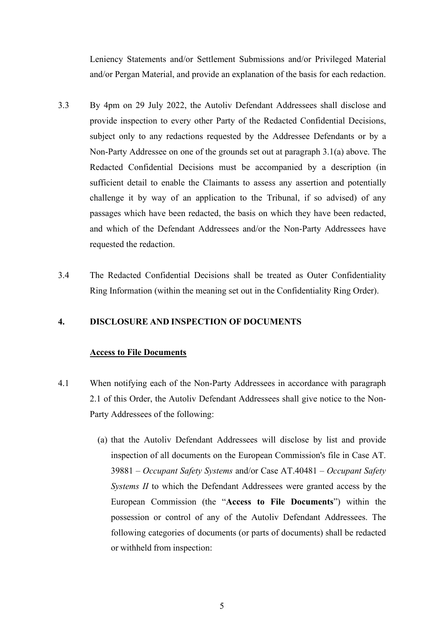Leniency Statements and/or Settlement Submissions and/or Privileged Material and/or Pergan Material, and provide an explanation of the basis for each redaction.

- 3.3 By 4pm on 29 July 2022, the Autoliv Defendant Addressees shall disclose and provide inspection to every other Party of the Redacted Confidential Decisions, subject only to any redactions requested by the Addressee Defendants or by a Non-Party Addressee on one of the grounds set out at paragraph 3.1(a) above. The Redacted Confidential Decisions must be accompanied by a description (in sufficient detail to enable the Claimants to assess any assertion and potentially challenge it by way of an application to the Tribunal, if so advised) of any passages which have been redacted, the basis on which they have been redacted, and which of the Defendant Addressees and/or the Non-Party Addressees have requested the redaction.
- 3.4 The Redacted Confidential Decisions shall be treated as Outer Confidentiality Ring Information (within the meaning set out in the Confidentiality Ring Order).

## **4. DISCLOSURE AND INSPECTION OF DOCUMENTS**

#### **Access to File Documents**

- 4.1 When notifying each of the Non-Party Addressees in accordance with paragraph 2.1 of this Order, the Autoliv Defendant Addressees shall give notice to the Non-Party Addressees of the following:
	- (a) that the Autoliv Defendant Addressees will disclose by list and provide inspection of all documents on the European Commission's file in Case AT. 39881 – *Occupant Safety Systems* and/or Case AT.40481 – *Occupant Safety Systems II* to which the Defendant Addressees were granted access by the European Commission (the "**Access to File Documents**") within the possession or control of any of the Autoliv Defendant Addressees. The following categories of documents (or parts of documents) shall be redacted or withheld from inspection: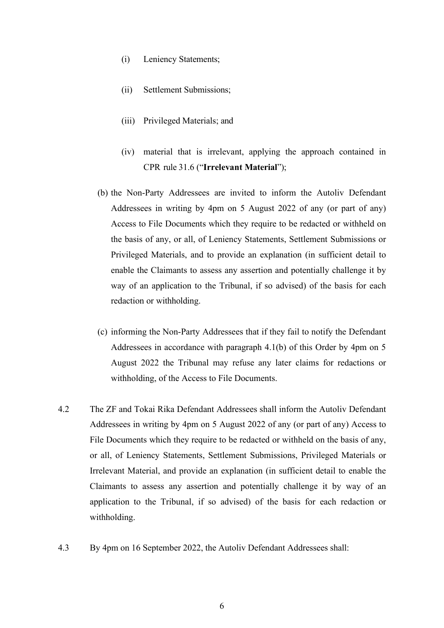- (i) Leniency Statements;
- (ii) Settlement Submissions;
- (iii) Privileged Materials; and
- (iv) material that is irrelevant, applying the approach contained in CPR rule 31.6 ("**Irrelevant Material**");
- (b) the Non-Party Addressees are invited to inform the Autoliv Defendant Addressees in writing by 4pm on 5 August 2022 of any (or part of any) Access to File Documents which they require to be redacted or withheld on the basis of any, or all, of Leniency Statements, Settlement Submissions or Privileged Materials, and to provide an explanation (in sufficient detail to enable the Claimants to assess any assertion and potentially challenge it by way of an application to the Tribunal, if so advised) of the basis for each redaction or withholding.
- (c) informing the Non-Party Addressees that if they fail to notify the Defendant Addressees in accordance with paragraph 4.1(b) of this Order by 4pm on 5 August 2022 the Tribunal may refuse any later claims for redactions or withholding, of the Access to File Documents.
- 4.2 The ZF and Tokai Rika Defendant Addressees shall inform the Autoliv Defendant Addressees in writing by 4pm on 5 August 2022 of any (or part of any) Access to File Documents which they require to be redacted or withheld on the basis of any, or all, of Leniency Statements, Settlement Submissions, Privileged Materials or Irrelevant Material, and provide an explanation (in sufficient detail to enable the Claimants to assess any assertion and potentially challenge it by way of an application to the Tribunal, if so advised) of the basis for each redaction or withholding.
- 4.3 By 4pm on 16 September 2022, the Autoliv Defendant Addressees shall: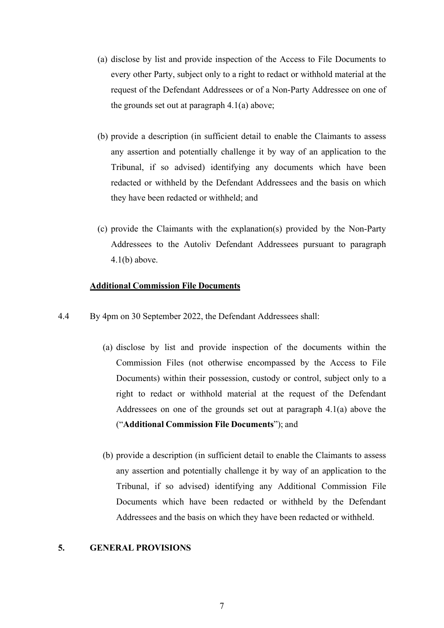- (a) disclose by list and provide inspection of the Access to File Documents to every other Party, subject only to a right to redact or withhold material at the request of the Defendant Addressees or of a Non-Party Addressee on one of the grounds set out at paragraph 4.1(a) above;
- (b) provide a description (in sufficient detail to enable the Claimants to assess any assertion and potentially challenge it by way of an application to the Tribunal, if so advised) identifying any documents which have been redacted or withheld by the Defendant Addressees and the basis on which they have been redacted or withheld; and
- (c) provide the Claimants with the explanation(s) provided by the Non-Party Addressees to the Autoliv Defendant Addressees pursuant to paragraph  $4.1(b)$  above.

#### **Additional Commission File Documents**

- 4.4 By 4pm on 30 September 2022, the Defendant Addressees shall:
	- (a) disclose by list and provide inspection of the documents within the Commission Files (not otherwise encompassed by the Access to File Documents) within their possession, custody or control, subject only to a right to redact or withhold material at the request of the Defendant Addressees on one of the grounds set out at paragraph 4.1(a) above the ("**Additional Commission File Documents**"); and
	- (b) provide a description (in sufficient detail to enable the Claimants to assess any assertion and potentially challenge it by way of an application to the Tribunal, if so advised) identifying any Additional Commission File Documents which have been redacted or withheld by the Defendant Addressees and the basis on which they have been redacted or withheld.

#### **5. GENERAL PROVISIONS**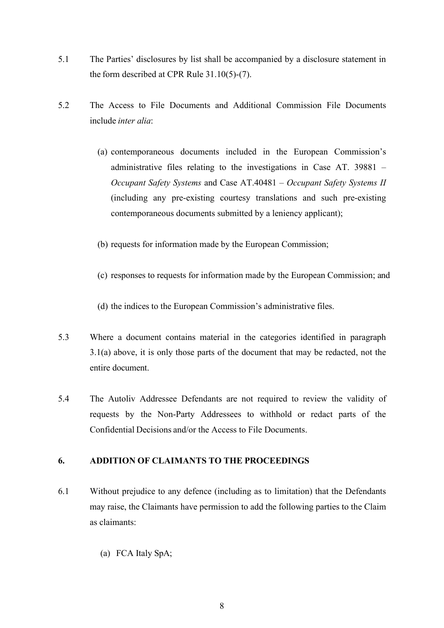- 5.1 The Parties' disclosures by list shall be accompanied by a disclosure statement in the form described at CPR Rule 31.10(5)-(7).
- 5.2 The Access to File Documents and Additional Commission File Documents include *inter alia*:
	- (a) contemporaneous documents included in the European Commission's administrative files relating to the investigations in Case AT. 39881 – *Occupant Safety Systems* and Case AT.40481 – *Occupant Safety Systems II*  (including any pre-existing courtesy translations and such pre-existing contemporaneous documents submitted by a leniency applicant);
	- (b) requests for information made by the European Commission;
	- (c) responses to requests for information made by the European Commission; and
	- (d) the indices to the European Commission's administrative files.
- 5.3 Where a document contains material in the categories identified in paragraph 3.1(a) above, it is only those parts of the document that may be redacted, not the entire document.
- 5.4 The Autoliv Addressee Defendants are not required to review the validity of requests by the Non-Party Addressees to withhold or redact parts of the Confidential Decisions and/or the Access to File Documents.

## **6. ADDITION OF CLAIMANTS TO THE PROCEEDINGS**

- 6.1 Without prejudice to any defence (including as to limitation) that the Defendants may raise, the Claimants have permission to add the following parties to the Claim as claimants:
	- (a) FCA Italy SpA;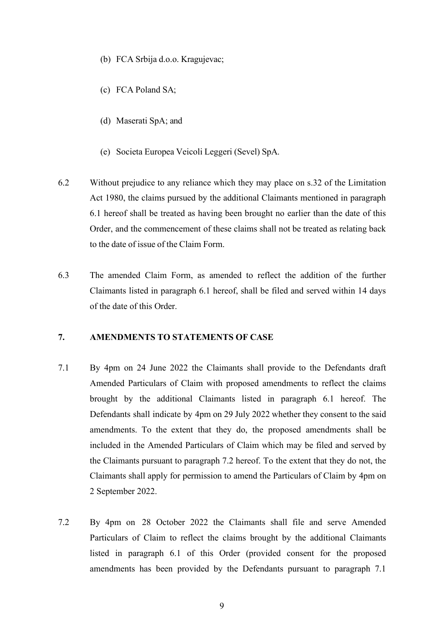- (b) FCA Srbija d.o.o. Kragujevac;
- (c) FCA Poland SA;
- (d) Maserati SpA; and
- (e) Societa Europea Veicoli Leggeri (Sevel) SpA.
- 6.2 Without prejudice to any reliance which they may place on s.32 of the Limitation Act 1980, the claims pursued by the additional Claimants mentioned in paragraph 6.1 hereof shall be treated as having been brought no earlier than the date of this Order, and the commencement of these claims shall not be treated as relating back to the date of issue of the Claim Form.
- 6.3 The amended Claim Form, as amended to reflect the addition of the further Claimants listed in paragraph 6.1 hereof, shall be filed and served within 14 days of the date of this Order.

## **7. AMENDMENTS TO STATEMENTS OF CASE**

- 7.1 By 4pm on 24 June 2022 the Claimants shall provide to the Defendants draft Amended Particulars of Claim with proposed amendments to reflect the claims brought by the additional Claimants listed in paragraph 6.1 hereof. The Defendants shall indicate by 4pm on 29 July 2022 whether they consent to the said amendments. To the extent that they do, the proposed amendments shall be included in the Amended Particulars of Claim which may be filed and served by the Claimants pursuant to paragraph 7.2 hereof. To the extent that they do not, the Claimants shall apply for permission to amend the Particulars of Claim by 4pm on 2 September 2022.
- 7.2 By 4pm on 28 October 2022 the Claimants shall file and serve Amended Particulars of Claim to reflect the claims brought by the additional Claimants listed in paragraph 6.1 of this Order (provided consent for the proposed amendments has been provided by the Defendants pursuant to paragraph 7.1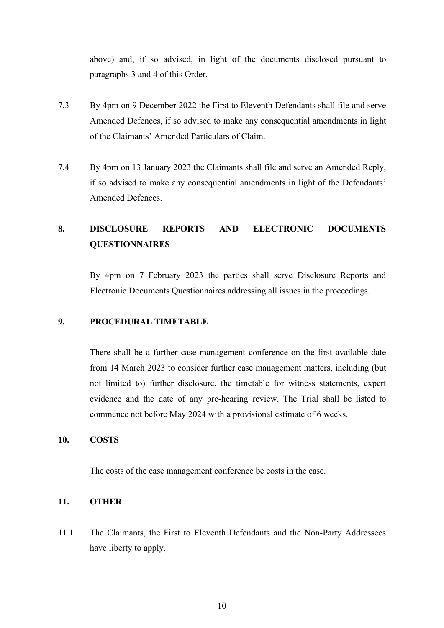above) and, if so advised, in light of the documents disclosed pursuant to paragraphs 3 and 4 of this Order.

- 7.3 By 4pm on 9 December 2022 the First to Eleventh Defendants shall file and serve Amended Defences, if so advised to make any consequential amendments in light of the Claimants' Amended Particulars of Claim.
- 7.4 By 4pm on 13 January 2023 the Claimants shall file and serve an Amended Reply, if so advised to make any consequential amendments in light of the Defendants' Amended Defences.

# **8. DISCLOSURE REPORTS AND ELECTRONIC DOCUMENTS QUESTIONNAIRES**

By 4pm on 7 February 2023 the parties shall serve Disclosure Reports and Electronic Documents Questionnaires addressing all issues in the proceedings.

# **9. PROCEDURAL TIMETABLE**

There shall be a further case management conference on the first available date from 14 March 2023 to consider further case management matters, including (but not limited to) further disclosure, the timetable for witness statements, expert evidence and the date of any pre-hearing review. The Trial shall be listed to commence not before May 2024 with a provisional estimate of 6 weeks.

#### **10. COSTS**

The costs of the case management conference be costs in the case.

#### **11. OTHER**

11.1 The Claimants, the First to Eleventh Defendants and the Non-Party Addressees have liberty to apply.